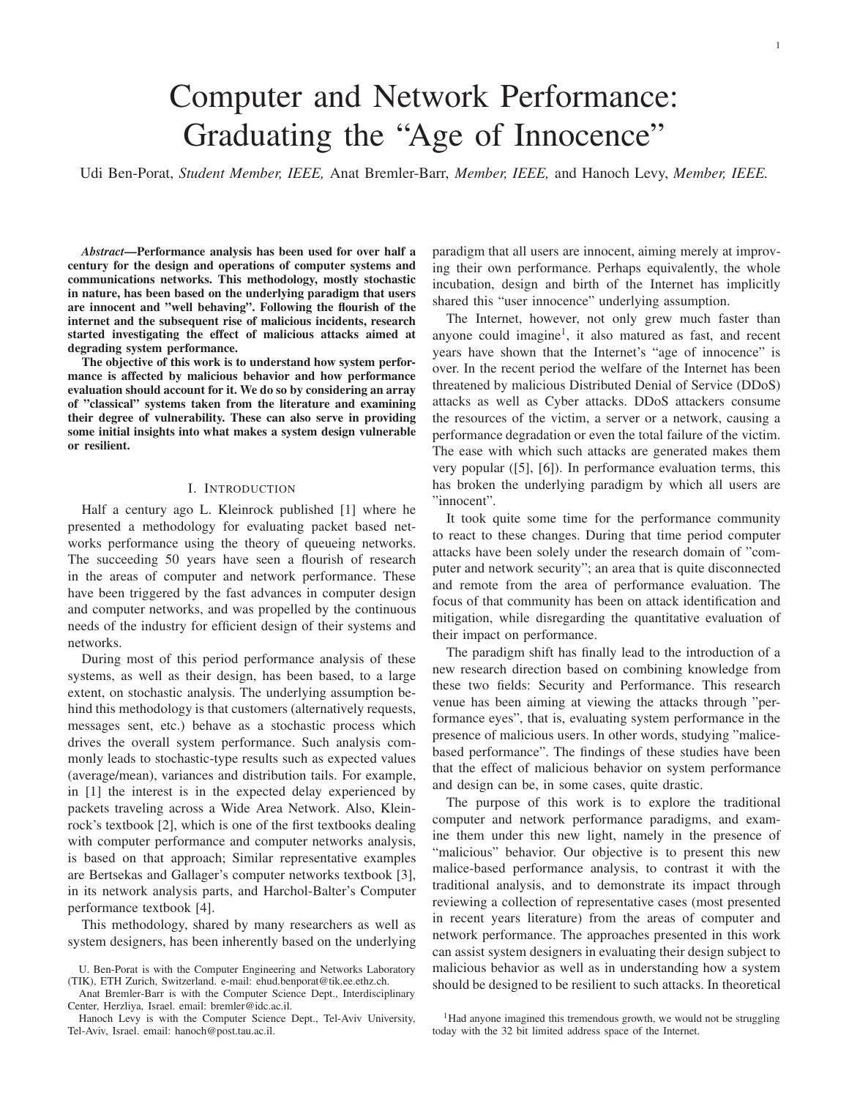# Computer and Network Performance: Graduating the "Age of Innocence"

Udi Ben-Porat, *Student Member, IEEE,* Anat Bremler-Barr, *Member, IEEE,* and Hanoch Levy, *Member, IEEE.*

*Abstract*—Performance analysis has been used for over half a century for the design and operations of computer systems and communications networks. This methodology, mostly stochastic in nature, has been based on the underlying paradigm that users are innocent and "well behaving". Following the flourish of the internet and the subsequent rise of malicious incidents, research started investigating the effect of malicious attacks aimed at degrading system performance.

The objective of this work is to understand how system performance is affected by malicious behavior and how performance evaluation should account for it. We do so by considering an array of "classical" systems taken from the literature and examining their degree of vulnerability. These can also serve in providing some initial insights into what makes a system design vulnerable or resilient.

#### I. INTRODUCTION

Half a century ago L. Kleinrock published [1] where he presented a methodology for evaluating packet based networks performance using the theory of queueing networks. The succeeding 50 years have seen a flourish of research in the areas of computer and network performance. These have been triggered by the fast advances in computer design and computer networks, and was propelled by the continuous needs of the industry for efficient design of their systems and networks.

During most of this period performance analysis of these systems, as well as their design, has been based, to a large extent, on stochastic analysis. The underlying assumption behind this methodology is that customers (alternatively requests, messages sent, etc.) behave as a stochastic process which drives the overall system performance. Such analysis commonly leads to stochastic-type results such as expected values (average/mean), variances and distribution tails. For example, in [1] the interest is in the expected delay experienced by packets traveling across a Wide Area Network. Also, Kleinrock's textbook [2], which is one of the first textbooks dealing with computer performance and computer networks analysis, is based on that approach; Similar representative examples are Bertsekas and Gallager's computer networks textbook [3], in its network analysis parts, and Harchol-Balter's Computer performance textbook [4].

This methodology, shared by many researchers as well as system designers, has been inherently based on the underlying

paradigm that all users are innocent, aiming merely at improving their own performance. Perhaps equivalently, the whole incubation, design and birth of the Internet has implicitly shared this "user innocence" underlying assumption.

The Internet, however, not only grew much faster than anyone could imagine<sup>1</sup>, it also matured as fast, and recent years have shown that the Internet's "age of innocence" is over. In the recent period the welfare of the Internet has been threatened by malicious Distributed Denial of Service (DDoS) attacks as well as Cyber attacks. DDoS attackers consume the resources of the victim, a server or a network, causing a performance degradation or even the total failure of the victim. The ease with which such attacks are generated makes them very popular ([5], [6]). In performance evaluation terms, this has broken the underlying paradigm by which all users are "innocent".

It took quite some time for the performance community to react to these changes. During that time period computer attacks have been solely under the research domain of "computer and network security"; an area that is quite disconnected and remote from the area of performance evaluation. The focus of that community has been on attack identification and mitigation, while disregarding the quantitative evaluation of their impact on performance.

The paradigm shift has finally lead to the introduction of a new research direction based on combining knowledge from these two fields: Security and Performance. This research venue has been aiming at viewing the attacks through "performance eyes", that is, evaluating system performance in the presence of malicious users. In other words, studying "malicebased performance". The findings of these studies have been that the effect of malicious behavior on system performance and design can be, in some cases, quite drastic.

The purpose of this work is to explore the traditional computer and network performance paradigms, and examine them under this new light, namely in the presence of "malicious" behavior. Our objective is to present this new malice-based performance analysis, to contrast it with the traditional analysis, and to demonstrate its impact through reviewing a collection of representative cases (most presented in recent years literature) from the areas of computer and network performance. The approaches presented in this work can assist system designers in evaluating their design subject to malicious behavior as well as in understanding how a system should be designed to be resilient to such attacks. In theoretical

U. Ben-Porat is with the Computer Engineering and Networks Laboratory (TIK), ETH Zurich, Switzerland. e-mail: ehud.benporat@tik.ee.ethz.ch.

Anat Bremler-Barr is with the Computer Science Dept., Interdisciplinary Center, Herzliya, Israel. email: bremler@idc.ac.il.

Hanoch Levy is with the Computer Science Dept., Tel-Aviv University, Tel-Aviv, Israel. email: hanoch@post.tau.ac.il.

<sup>&</sup>lt;sup>1</sup>Had anyone imagined this tremendous growth, we would not be struggling today with the 32 bit limited address space of the Internet.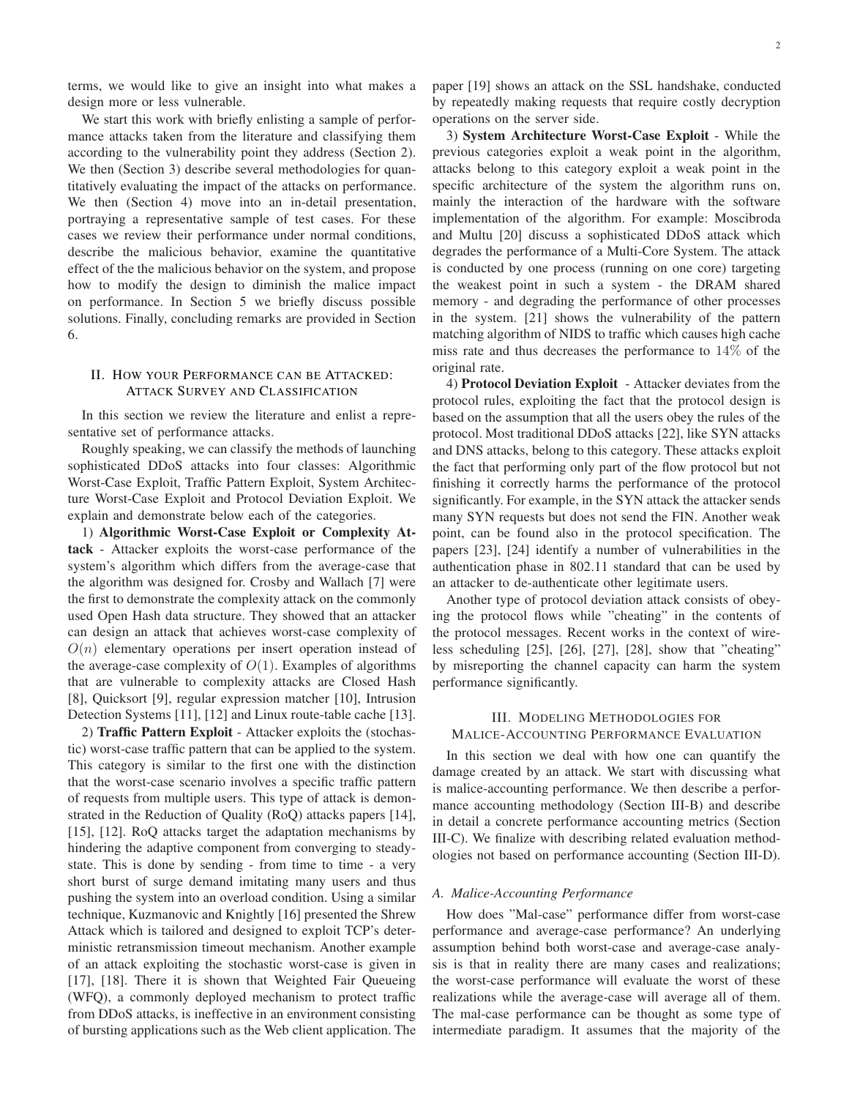terms, we would like to give an insight into what makes a design more or less vulnerable.

We start this work with briefly enlisting a sample of performance attacks taken from the literature and classifying them according to the vulnerability point they address (Section 2). We then (Section 3) describe several methodologies for quantitatively evaluating the impact of the attacks on performance. We then (Section 4) move into an in-detail presentation, portraying a representative sample of test cases. For these cases we review their performance under normal conditions, describe the malicious behavior, examine the quantitative effect of the the malicious behavior on the system, and propose how to modify the design to diminish the malice impact on performance. In Section 5 we briefly discuss possible solutions. Finally, concluding remarks are provided in Section 6.

## II. HOW YOUR PERFORMANCE CAN BE ATTACKED: ATTACK SURVEY AND CLASSIFICATION

In this section we review the literature and enlist a representative set of performance attacks.

Roughly speaking, we can classify the methods of launching sophisticated DDoS attacks into four classes: Algorithmic Worst-Case Exploit, Traffic Pattern Exploit, System Architecture Worst-Case Exploit and Protocol Deviation Exploit. We explain and demonstrate below each of the categories.

1) Algorithmic Worst-Case Exploit or Complexity Attack - Attacker exploits the worst-case performance of the system's algorithm which differs from the average-case that the algorithm was designed for. Crosby and Wallach [7] were the first to demonstrate the complexity attack on the commonly used Open Hash data structure. They showed that an attacker can design an attack that achieves worst-case complexity of  $O(n)$  elementary operations per insert operation instead of the average-case complexity of  $O(1)$ . Examples of algorithms that are vulnerable to complexity attacks are Closed Hash [8], Quicksort [9], regular expression matcher [10], Intrusion Detection Systems [11], [12] and Linux route-table cache [13].

2) Traffic Pattern Exploit - Attacker exploits the (stochastic) worst-case traffic pattern that can be applied to the system. This category is similar to the first one with the distinction that the worst-case scenario involves a specific traffic pattern of requests from multiple users. This type of attack is demonstrated in the Reduction of Quality (RoQ) attacks papers [14], [15], [12]. RoQ attacks target the adaptation mechanisms by hindering the adaptive component from converging to steadystate. This is done by sending - from time to time - a very short burst of surge demand imitating many users and thus pushing the system into an overload condition. Using a similar technique, Kuzmanovic and Knightly [16] presented the Shrew Attack which is tailored and designed to exploit TCP's deterministic retransmission timeout mechanism. Another example of an attack exploiting the stochastic worst-case is given in [17], [18]. There it is shown that Weighted Fair Queueing (WFQ), a commonly deployed mechanism to protect traffic from DDoS attacks, is ineffective in an environment consisting of bursting applications such as the Web client application. The paper [19] shows an attack on the SSL handshake, conducted by repeatedly making requests that require costly decryption operations on the server side.

3) System Architecture Worst-Case Exploit - While the previous categories exploit a weak point in the algorithm, attacks belong to this category exploit a weak point in the specific architecture of the system the algorithm runs on, mainly the interaction of the hardware with the software implementation of the algorithm. For example: Moscibroda and Multu [20] discuss a sophisticated DDoS attack which degrades the performance of a Multi-Core System. The attack is conducted by one process (running on one core) targeting the weakest point in such a system - the DRAM shared memory - and degrading the performance of other processes in the system. [21] shows the vulnerability of the pattern matching algorithm of NIDS to traffic which causes high cache miss rate and thus decreases the performance to 14% of the original rate.

4) Protocol Deviation Exploit - Attacker deviates from the protocol rules, exploiting the fact that the protocol design is based on the assumption that all the users obey the rules of the protocol. Most traditional DDoS attacks [22], like SYN attacks and DNS attacks, belong to this category. These attacks exploit the fact that performing only part of the flow protocol but not finishing it correctly harms the performance of the protocol significantly. For example, in the SYN attack the attacker sends many SYN requests but does not send the FIN. Another weak point, can be found also in the protocol specification. The papers [23], [24] identify a number of vulnerabilities in the authentication phase in 802.11 standard that can be used by an attacker to de-authenticate other legitimate users.

Another type of protocol deviation attack consists of obeying the protocol flows while "cheating" in the contents of the protocol messages. Recent works in the context of wireless scheduling [25], [26], [27], [28], show that "cheating" by misreporting the channel capacity can harm the system performance significantly.

# III. MODELING METHODOLOGIES FOR MALICE-ACCOUNTING PERFORMANCE EVALUATION

In this section we deal with how one can quantify the damage created by an attack. We start with discussing what is malice-accounting performance. We then describe a performance accounting methodology (Section III-B) and describe in detail a concrete performance accounting metrics (Section III-C). We finalize with describing related evaluation methodologies not based on performance accounting (Section III-D).

#### *A. Malice-Accounting Performance*

How does "Mal-case" performance differ from worst-case performance and average-case performance? An underlying assumption behind both worst-case and average-case analysis is that in reality there are many cases and realizations; the worst-case performance will evaluate the worst of these realizations while the average-case will average all of them. The mal-case performance can be thought as some type of intermediate paradigm. It assumes that the majority of the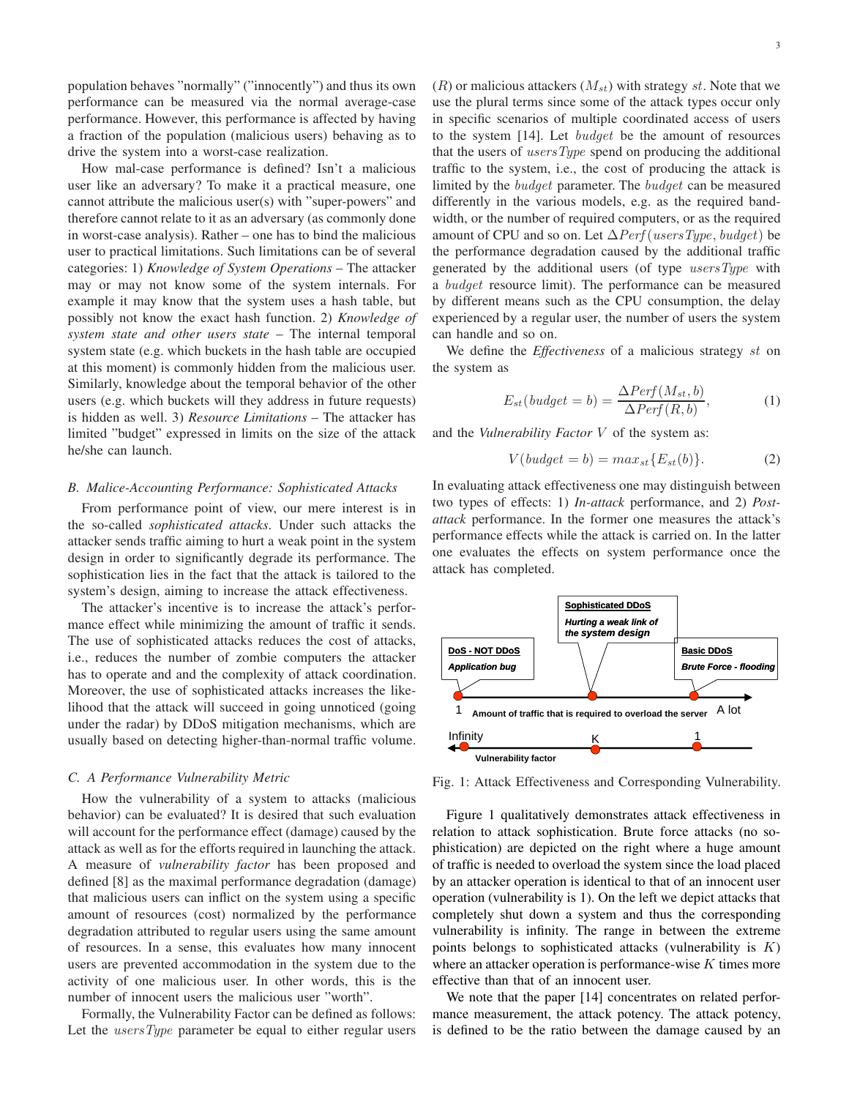population behaves "normally" ("innocently") and thus its own performance can be measured via the normal average-case performance. However, this performance is affected by having a fraction of the population (malicious users) behaving as to drive the system into a worst-case realization.

How mal-case performance is defined? Isn't a malicious user like an adversary? To make it a practical measure, one cannot attribute the malicious user(s) with "super-powers" and therefore cannot relate to it as an adversary (as commonly done in worst-case analysis). Rather – one has to bind the malicious user to practical limitations. Such limitations can be of several categories: 1) *Knowledge of System Operations* – The attacker may or may not know some of the system internals. For example it may know that the system uses a hash table, but possibly not know the exact hash function. 2) *Knowledge of system state and other users state* – The internal temporal system state (e.g. which buckets in the hash table are occupied at this moment) is commonly hidden from the malicious user. Similarly, knowledge about the temporal behavior of the other users (e.g. which buckets will they address in future requests) is hidden as well. 3) *Resource Limitations* – The attacker has limited "budget" expressed in limits on the size of the attack he/she can launch.

#### *B. Malice-Accounting Performance: Sophisticated Attacks*

From performance point of view, our mere interest is in the so-called *sophisticated attacks*. Under such attacks the attacker sends traffic aiming to hurt a weak point in the system design in order to significantly degrade its performance. The sophistication lies in the fact that the attack is tailored to the system's design, aiming to increase the attack effectiveness.

The attacker's incentive is to increase the attack's performance effect while minimizing the amount of traffic it sends. The use of sophisticated attacks reduces the cost of attacks, i.e., reduces the number of zombie computers the attacker has to operate and and the complexity of attack coordination. Moreover, the use of sophisticated attacks increases the likelihood that the attack will succeed in going unnoticed (going under the radar) by DDoS mitigation mechanisms, which are usually based on detecting higher-than-normal traffic volume.

# *C. A Performance Vulnerability Metric*

How the vulnerability of a system to attacks (malicious behavior) can be evaluated? It is desired that such evaluation will account for the performance effect (damage) caused by the attack as well as for the efforts required in launching the attack. A measure of *vulnerability factor* has been proposed and defined [8] as the maximal performance degradation (damage) that malicious users can inflict on the system using a specific amount of resources (cost) normalized by the performance degradation attributed to regular users using the same amount of resources. In a sense, this evaluates how many innocent users are prevented accommodation in the system due to the activity of one malicious user. In other words, this is the number of innocent users the malicious user "worth".

Formally, the Vulnerability Factor can be defined as follows: Let the  $usersType$  parameter be equal to either regular users  $(R)$  or malicious attackers  $(M_{st})$  with strategy st. Note that we use the plural terms since some of the attack types occur only in specific scenarios of multiple coordinated access of users to the system [14]. Let budget be the amount of resources that the users of  $usersType$  spend on producing the additional traffic to the system, i.e., the cost of producing the attack is limited by the budget parameter. The budget can be measured differently in the various models, e.g. as the required bandwidth, or the number of required computers, or as the required amount of CPU and so on. Let  $\Delta$ *Perf* (usersType, budget) be the performance degradation caused by the additional traffic generated by the additional users (of type  $usersType$  with a budget resource limit). The performance can be measured by different means such as the CPU consumption, the delay experienced by a regular user, the number of users the system can handle and so on.

We define the *Effectiveness* of a malicious strategy st on the system as

$$
E_{st}(budget = b) = \frac{\Delta Perf(M_{st}, b)}{\Delta Perf(R, b)},
$$
\n(1)

and the *Vulnerability Factor* V of the system as:

$$
V(budget = b) = max_{st} \{E_{st}(b)\}.
$$
 (2)

In evaluating attack effectiveness one may distinguish between two types of effects: 1) *In-attack* performance, and 2) *Postattack* performance. In the former one measures the attack's performance effects while the attack is carried on. In the latter one evaluates the effects on system performance once the attack has completed.



Fig. 1: Attack Effectiveness and Corresponding Vulnerability.

Figure 1 qualitatively demonstrates attack effectiveness in relation to attack sophistication. Brute force attacks (no sophistication) are depicted on the right where a huge amount of traffic is needed to overload the system since the load placed by an attacker operation is identical to that of an innocent user operation (vulnerability is 1). On the left we depict attacks that completely shut down a system and thus the corresponding vulnerability is infinity. The range in between the extreme points belongs to sophisticated attacks (vulnerability is  $K$ ) where an attacker operation is performance-wise  $K$  times more effective than that of an innocent user.

We note that the paper [14] concentrates on related performance measurement, the attack potency. The attack potency, is defined to be the ratio between the damage caused by an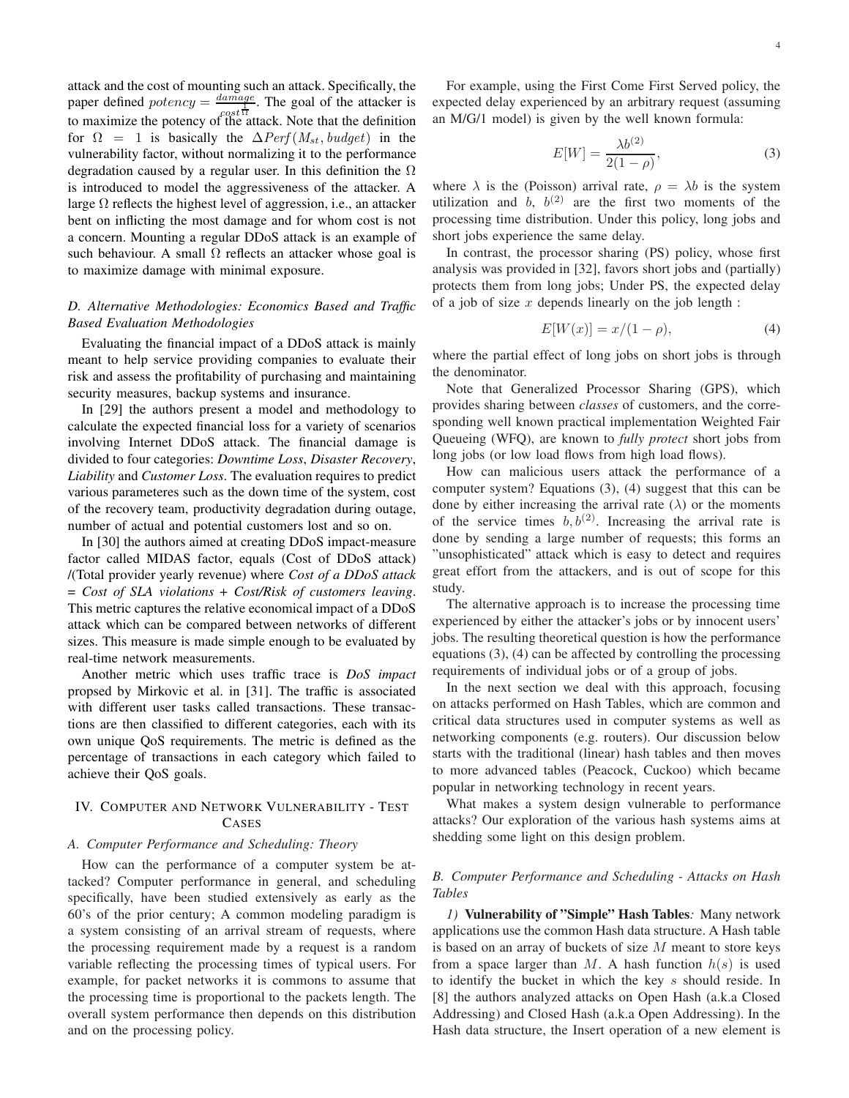4

attack and the cost of mounting such an attack. Specifically, the paper defined  $potency = \frac{damage}{1}$  $\frac{d\tanage}{\cosh \theta}$ . The goal of the attacker is to maximize the potency of the attack. Note that the definition for  $\Omega = 1$  is basically the  $\Delta Perf(M_{st}, budget)$  in the vulnerability factor, without normalizing it to the performance degradation caused by a regular user. In this definition the  $\Omega$ is introduced to model the aggressiveness of the attacker. A large  $\Omega$  reflects the highest level of aggression, i.e., an attacker bent on inflicting the most damage and for whom cost is not a concern. Mounting a regular DDoS attack is an example of such behaviour. A small  $\Omega$  reflects an attacker whose goal is to maximize damage with minimal exposure.

# *D. Alternative Methodologies: Economics Based and Traffic Based Evaluation Methodologies*

Evaluating the financial impact of a DDoS attack is mainly meant to help service providing companies to evaluate their risk and assess the profitability of purchasing and maintaining security measures, backup systems and insurance.

In [29] the authors present a model and methodology to calculate the expected financial loss for a variety of scenarios involving Internet DDoS attack. The financial damage is divided to four categories: *Downtime Loss*, *Disaster Recovery*, *Liability* and *Customer Loss*. The evaluation requires to predict various parameteres such as the down time of the system, cost of the recovery team, productivity degradation during outage, number of actual and potential customers lost and so on.

In [30] the authors aimed at creating DDoS impact-measure factor called MIDAS factor, equals (Cost of DDoS attack) /(Total provider yearly revenue) where *Cost of a DDoS attack* = *Cost of SLA violations* + *Cost/Risk of customers leaving*. This metric captures the relative economical impact of a DDoS attack which can be compared between networks of different sizes. This measure is made simple enough to be evaluated by real-time network measurements.

Another metric which uses traffic trace is *DoS impact* propsed by Mirkovic et al. in [31]. The traffic is associated with different user tasks called transactions. These transactions are then classified to different categories, each with its own unique QoS requirements. The metric is defined as the percentage of transactions in each category which failed to achieve their QoS goals.

# IV. COMPUTER AND NETWORK VULNERABILITY - TEST CASES

#### *A. Computer Performance and Scheduling: Theory*

How can the performance of a computer system be attacked? Computer performance in general, and scheduling specifically, have been studied extensively as early as the 60's of the prior century; A common modeling paradigm is a system consisting of an arrival stream of requests, where the processing requirement made by a request is a random variable reflecting the processing times of typical users. For example, for packet networks it is commons to assume that the processing time is proportional to the packets length. The overall system performance then depends on this distribution and on the processing policy.

For example, using the First Come First Served policy, the expected delay experienced by an arbitrary request (assuming an M/G/1 model) is given by the well known formula:

$$
E[W] = \frac{\lambda b^{(2)}}{2(1-\rho)},\tag{3}
$$

where  $\lambda$  is the (Poisson) arrival rate,  $\rho = \lambda b$  is the system utilization and  $b$ ,  $b^{(2)}$  are the first two moments of the processing time distribution. Under this policy, long jobs and short jobs experience the same delay.

In contrast, the processor sharing (PS) policy, whose first analysis was provided in [32], favors short jobs and (partially) protects them from long jobs; Under PS, the expected delay of a job of size  $x$  depends linearly on the job length :

$$
E[W(x)] = x/(1 - \rho),
$$
 (4)

where the partial effect of long jobs on short jobs is through the denominator.

Note that Generalized Processor Sharing (GPS), which provides sharing between *classes* of customers, and the corresponding well known practical implementation Weighted Fair Queueing (WFQ), are known to *fully protect* short jobs from long jobs (or low load flows from high load flows).

How can malicious users attack the performance of a computer system? Equations (3), (4) suggest that this can be done by either increasing the arrival rate  $(\lambda)$  or the moments of the service times  $b, b^{(2)}$ . Increasing the arrival rate is done by sending a large number of requests; this forms an "unsophisticated" attack which is easy to detect and requires great effort from the attackers, and is out of scope for this study.

The alternative approach is to increase the processing time experienced by either the attacker's jobs or by innocent users' jobs. The resulting theoretical question is how the performance equations (3), (4) can be affected by controlling the processing requirements of individual jobs or of a group of jobs.

In the next section we deal with this approach, focusing on attacks performed on Hash Tables, which are common and critical data structures used in computer systems as well as networking components (e.g. routers). Our discussion below starts with the traditional (linear) hash tables and then moves to more advanced tables (Peacock, Cuckoo) which became popular in networking technology in recent years.

What makes a system design vulnerable to performance attacks? Our exploration of the various hash systems aims at shedding some light on this design problem.

## *B. Computer Performance and Scheduling - Attacks on Hash Tables*

*1)* Vulnerability of "Simple" Hash Tables*:* Many network applications use the common Hash data structure. A Hash table is based on an array of buckets of size  $M$  meant to store keys from a space larger than M. A hash function  $h(s)$  is used to identify the bucket in which the key s should reside. In [8] the authors analyzed attacks on Open Hash (a.k.a Closed Addressing) and Closed Hash (a.k.a Open Addressing). In the Hash data structure, the Insert operation of a new element is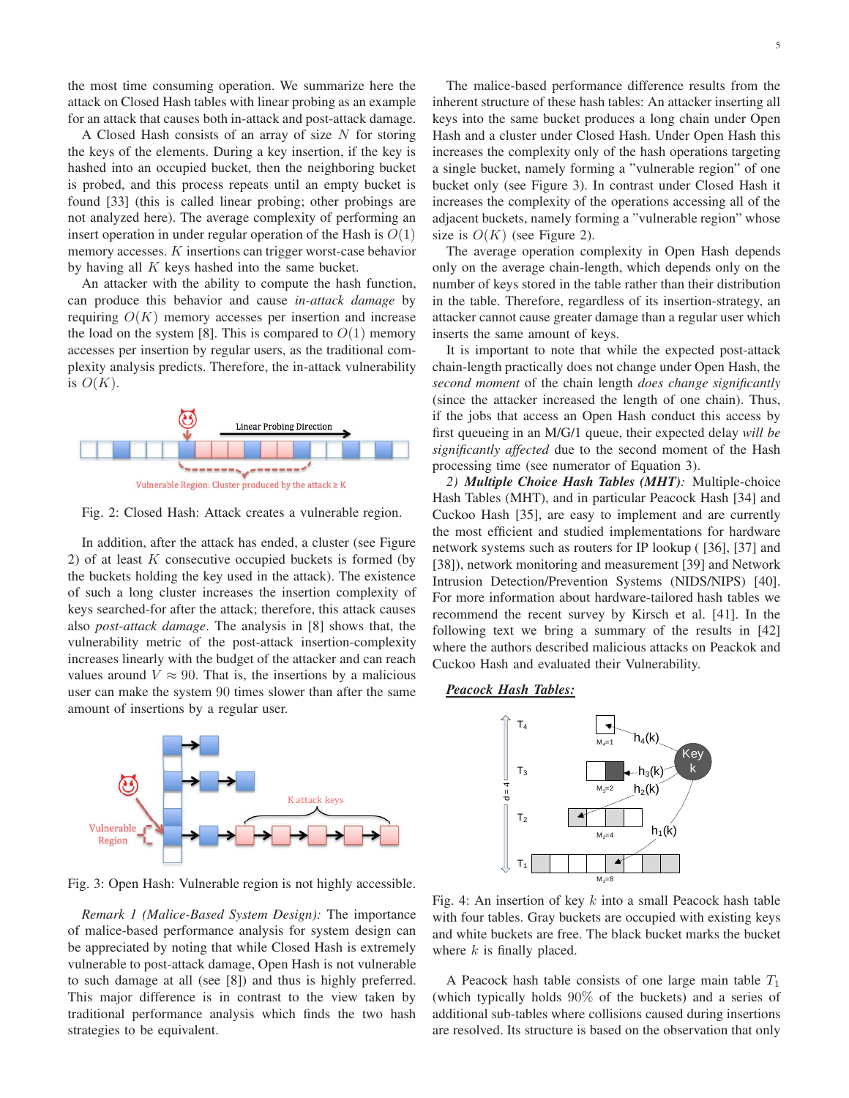the most time consuming operation. We summarize here the attack on Closed Hash tables with linear probing as an example for an attack that causes both in-attack and post-attack damage.

A Closed Hash consists of an array of size  $N$  for storing the keys of the elements. During a key insertion, if the key is hashed into an occupied bucket, then the neighboring bucket is probed, and this process repeats until an empty bucket is found [33] (this is called linear probing; other probings are not analyzed here). The average complexity of performing an insert operation in under regular operation of the Hash is  $O(1)$ memory accesses. K insertions can trigger worst-case behavior by having all  $K$  keys hashed into the same bucket.

An attacker with the ability to compute the hash function, can produce this behavior and cause *in-attack damage* by requiring  $O(K)$  memory accesses per insertion and increase the load on the system [8]. This is compared to  $O(1)$  memory accesses per insertion by regular users, as the traditional complexity analysis predicts. Therefore, the in-attack vulnerability is  $O(K)$ .



Fig. 2: Closed Hash: Attack creates a vulnerable region.

In addition, after the attack has ended, a cluster (see Figure 2) of at least  $K$  consecutive occupied buckets is formed (by the buckets holding the key used in the attack). The existence of such a long cluster increases the insertion complexity of keys searched-for after the attack; therefore, this attack causes also *post-attack damage*. The analysis in [8] shows that, the vulnerability metric of the post-attack insertion-complexity increases linearly with the budget of the attacker and can reach values around  $V \approx 90$ . That is, the insertions by a malicious user can make the system 90 times slower than after the same amount of insertions by a regular user.



Fig. 3: Open Hash: Vulnerable region is not highly accessible.

*Remark 1 (Malice-Based System Design):* The importance of malice-based performance analysis for system design can be appreciated by noting that while Closed Hash is extremely vulnerable to post-attack damage, Open Hash is not vulnerable to such damage at all (see [8]) and thus is highly preferred. This major difference is in contrast to the view taken by traditional performance analysis which finds the two hash strategies to be equivalent.

The malice-based performance difference results from the inherent structure of these hash tables: An attacker inserting all keys into the same bucket produces a long chain under Open Hash and a cluster under Closed Hash. Under Open Hash this increases the complexity only of the hash operations targeting a single bucket, namely forming a "vulnerable region" of one bucket only (see Figure 3). In contrast under Closed Hash it increases the complexity of the operations accessing all of the adjacent buckets, namely forming a "vulnerable region" whose size is  $O(K)$  (see Figure 2).

The average operation complexity in Open Hash depends only on the average chain-length, which depends only on the number of keys stored in the table rather than their distribution in the table. Therefore, regardless of its insertion-strategy, an attacker cannot cause greater damage than a regular user which inserts the same amount of keys.

It is important to note that while the expected post-attack chain-length practically does not change under Open Hash, the *second moment* of the chain length *does change significantly* (since the attacker increased the length of one chain). Thus, if the jobs that access an Open Hash conduct this access by first queueing in an M/G/1 queue, their expected delay *will be significantly affected* due to the second moment of the Hash processing time (see numerator of Equation 3).

*2) Multiple Choice Hash Tables (MHT):* Multiple-choice Hash Tables (MHT), and in particular Peacock Hash [34] and Cuckoo Hash [35], are easy to implement and are currently the most efficient and studied implementations for hardware network systems such as routers for IP lookup ( [36], [37] and [38]), network monitoring and measurement [39] and Network Intrusion Detection/Prevention Systems (NIDS/NIPS) [40]. For more information about hardware-tailored hash tables we recommend the recent survey by Kirsch et al. [41]. In the following text we bring a summary of the results in [42] where the authors described malicious attacks on Peackok and Cuckoo Hash and evaluated their Vulnerability.

#### *Peacock Hash Tables:*



Fig. 4: An insertion of key  $k$  into a small Peacock hash table with four tables. Gray buckets are occupied with existing keys and white buckets are free. The black bucket marks the bucket where  $k$  is finally placed.

A Peacock hash table consists of one large main table  $T_1$ (which typically holds 90% of the buckets) and a series of additional sub-tables where collisions caused during insertions are resolved. Its structure is based on the observation that only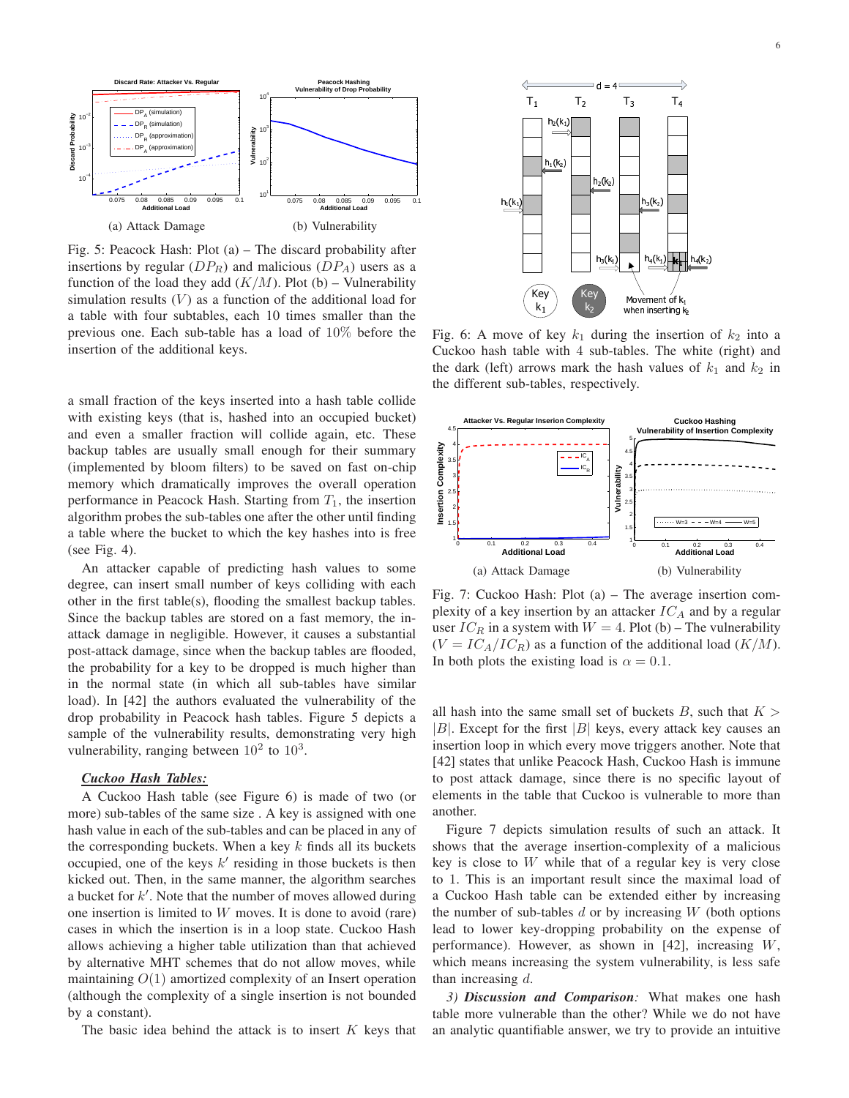

Fig. 5: Peacock Hash: Plot (a) – The discard probability after insertions by regular  $(DP_R)$  and malicious  $(DP_A)$  users as a function of the load they add  $(K/M)$ . Plot (b) – Vulnerability simulation results  $(V)$  as a function of the additional load for a table with four subtables, each 10 times smaller than the previous one. Each sub-table has a load of 10% before the insertion of the additional keys.

a small fraction of the keys inserted into a hash table collide with existing keys (that is, hashed into an occupied bucket) and even a smaller fraction will collide again, etc. These backup tables are usually small enough for their summary (implemented by bloom filters) to be saved on fast on-chip memory which dramatically improves the overall operation performance in Peacock Hash. Starting from  $T_1$ , the insertion algorithm probes the sub-tables one after the other until finding a table where the bucket to which the key hashes into is free (see Fig. 4).

An attacker capable of predicting hash values to some degree, can insert small number of keys colliding with each other in the first table(s), flooding the smallest backup tables. Since the backup tables are stored on a fast memory, the inattack damage in negligible. However, it causes a substantial post-attack damage, since when the backup tables are flooded, the probability for a key to be dropped is much higher than in the normal state (in which all sub-tables have similar load). In [42] the authors evaluated the vulnerability of the drop probability in Peacock hash tables. Figure 5 depicts a sample of the vulnerability results, demonstrating very high vulnerability, ranging between  $10^2$  to  $10^3$ .

# *Cuckoo Hash Tables:*

A Cuckoo Hash table (see Figure 6) is made of two (or more) sub-tables of the same size . A key is assigned with one hash value in each of the sub-tables and can be placed in any of the corresponding buckets. When a key  $k$  finds all its buckets occupied, one of the keys  $k'$  residing in those buckets is then kicked out. Then, in the same manner, the algorithm searches a bucket for  $k'$ . Note that the number of moves allowed during one insertion is limited to  $W$  moves. It is done to avoid (rare) cases in which the insertion is in a loop state. Cuckoo Hash allows achieving a higher table utilization than that achieved by alternative MHT schemes that do not allow moves, while maintaining  $O(1)$  amortized complexity of an Insert operation (although the complexity of a single insertion is not bounded by a constant).

The basic idea behind the attack is to insert  $K$  keys that



Fig. 6: A move of key  $k_1$  during the insertion of  $k_2$  into a Cuckoo hash table with 4 sub-tables. The white (right) and the dark (left) arrows mark the hash values of  $k_1$  and  $k_2$  in the different sub-tables, respectively.



Fig. 7: Cuckoo Hash: Plot (a) – The average insertion complexity of a key insertion by an attacker  $IC_A$  and by a regular user  $IC_R$  in a system with  $W = 4$ . Plot (b) – The vulnerability  $(V = IC_A / IC_R)$  as a function of the additional load  $(K/M)$ . In both plots the existing load is  $\alpha = 0.1$ .

all hash into the same small set of buckets  $B$ , such that  $K >$  $|B|$ . Except for the first  $|B|$  keys, every attack key causes an insertion loop in which every move triggers another. Note that [42] states that unlike Peacock Hash, Cuckoo Hash is immune to post attack damage, since there is no specific layout of elements in the table that Cuckoo is vulnerable to more than another.

Figure 7 depicts simulation results of such an attack. It shows that the average insertion-complexity of a malicious key is close to W while that of a regular key is very close to 1. This is an important result since the maximal load of a Cuckoo Hash table can be extended either by increasing the number of sub-tables  $d$  or by increasing  $W$  (both options lead to lower key-dropping probability on the expense of performance). However, as shown in [42], increasing W, which means increasing the system vulnerability, is less safe than increasing  $d$ .

*3) Discussion and Comparison:* What makes one hash table more vulnerable than the other? While we do not have an analytic quantifiable answer, we try to provide an intuitive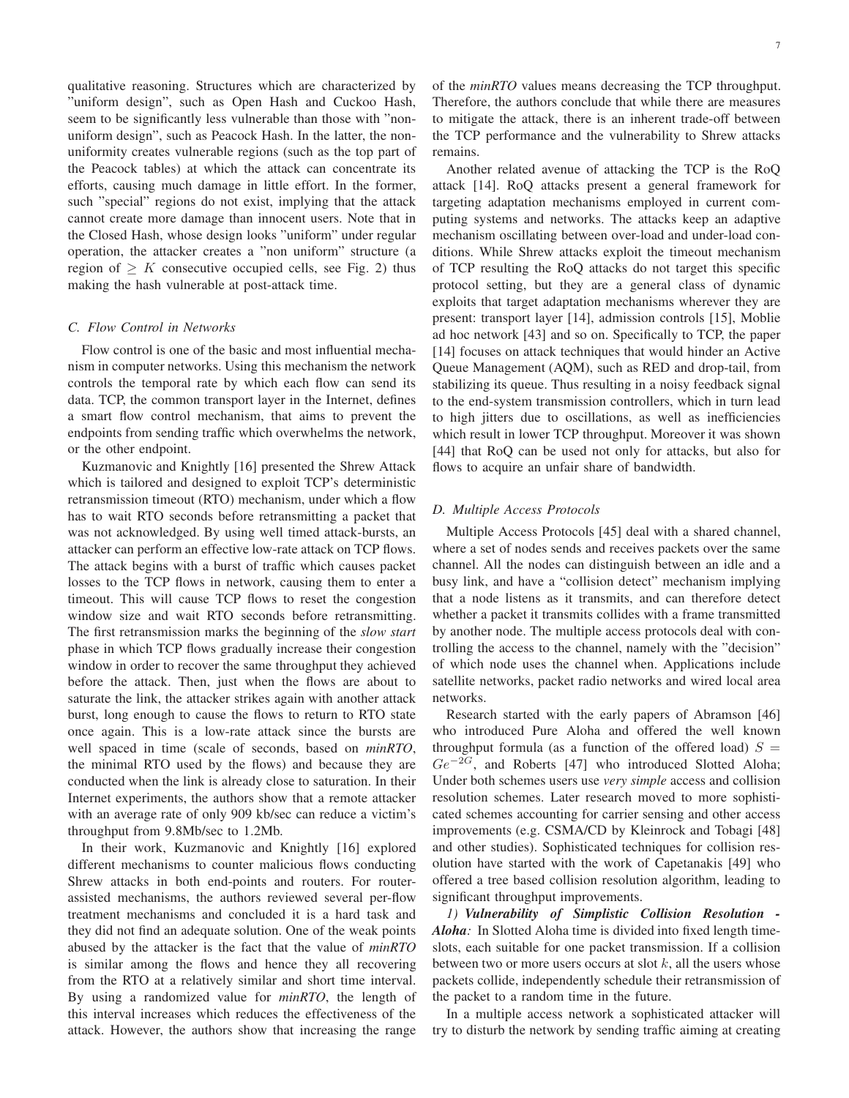qualitative reasoning. Structures which are characterized by "uniform design", such as Open Hash and Cuckoo Hash, seem to be significantly less vulnerable than those with "nonuniform design", such as Peacock Hash. In the latter, the nonuniformity creates vulnerable regions (such as the top part of the Peacock tables) at which the attack can concentrate its efforts, causing much damage in little effort. In the former, such "special" regions do not exist, implying that the attack cannot create more damage than innocent users. Note that in the Closed Hash, whose design looks "uniform" under regular operation, the attacker creates a "non uniform" structure (a region of  $\geq K$  consecutive occupied cells, see Fig. 2) thus making the hash vulnerable at post-attack time.

## *C. Flow Control in Networks*

Flow control is one of the basic and most influential mechanism in computer networks. Using this mechanism the network controls the temporal rate by which each flow can send its data. TCP, the common transport layer in the Internet, defines a smart flow control mechanism, that aims to prevent the endpoints from sending traffic which overwhelms the network, or the other endpoint.

Kuzmanovic and Knightly [16] presented the Shrew Attack which is tailored and designed to exploit TCP's deterministic retransmission timeout (RTO) mechanism, under which a flow has to wait RTO seconds before retransmitting a packet that was not acknowledged. By using well timed attack-bursts, an attacker can perform an effective low-rate attack on TCP flows. The attack begins with a burst of traffic which causes packet losses to the TCP flows in network, causing them to enter a timeout. This will cause TCP flows to reset the congestion window size and wait RTO seconds before retransmitting. The first retransmission marks the beginning of the *slow start* phase in which TCP flows gradually increase their congestion window in order to recover the same throughput they achieved before the attack. Then, just when the flows are about to saturate the link, the attacker strikes again with another attack burst, long enough to cause the flows to return to RTO state once again. This is a low-rate attack since the bursts are well spaced in time (scale of seconds, based on *minRTO*, the minimal RTO used by the flows) and because they are conducted when the link is already close to saturation. In their Internet experiments, the authors show that a remote attacker with an average rate of only 909 kb/sec can reduce a victim's throughput from 9.8Mb/sec to 1.2Mb.

In their work, Kuzmanovic and Knightly [16] explored different mechanisms to counter malicious flows conducting Shrew attacks in both end-points and routers. For routerassisted mechanisms, the authors reviewed several per-flow treatment mechanisms and concluded it is a hard task and they did not find an adequate solution. One of the weak points abused by the attacker is the fact that the value of *minRTO* is similar among the flows and hence they all recovering from the RTO at a relatively similar and short time interval. By using a randomized value for *minRTO*, the length of this interval increases which reduces the effectiveness of the attack. However, the authors show that increasing the range

of the *minRTO* values means decreasing the TCP throughput. Therefore, the authors conclude that while there are measures to mitigate the attack, there is an inherent trade-off between the TCP performance and the vulnerability to Shrew attacks remains.

Another related avenue of attacking the TCP is the RoQ attack [14]. RoQ attacks present a general framework for targeting adaptation mechanisms employed in current computing systems and networks. The attacks keep an adaptive mechanism oscillating between over-load and under-load conditions. While Shrew attacks exploit the timeout mechanism of TCP resulting the RoQ attacks do not target this specific protocol setting, but they are a general class of dynamic exploits that target adaptation mechanisms wherever they are present: transport layer [14], admission controls [15], Moblie ad hoc network [43] and so on. Specifically to TCP, the paper [14] focuses on attack techniques that would hinder an Active Queue Management (AQM), such as RED and drop-tail, from stabilizing its queue. Thus resulting in a noisy feedback signal to the end-system transmission controllers, which in turn lead to high jitters due to oscillations, as well as inefficiencies which result in lower TCP throughput. Moreover it was shown [44] that RoQ can be used not only for attacks, but also for flows to acquire an unfair share of bandwidth.

## *D. Multiple Access Protocols*

Multiple Access Protocols [45] deal with a shared channel, where a set of nodes sends and receives packets over the same channel. All the nodes can distinguish between an idle and a busy link, and have a "collision detect" mechanism implying that a node listens as it transmits, and can therefore detect whether a packet it transmits collides with a frame transmitted by another node. The multiple access protocols deal with controlling the access to the channel, namely with the "decision" of which node uses the channel when. Applications include satellite networks, packet radio networks and wired local area networks.

Research started with the early papers of Abramson [46] who introduced Pure Aloha and offered the well known throughput formula (as a function of the offered load)  $S =$  $Ge^{-2G}$ , and Roberts [47] who introduced Slotted Aloha; Under both schemes users use *very simple* access and collision resolution schemes. Later research moved to more sophisticated schemes accounting for carrier sensing and other access improvements (e.g. CSMA/CD by Kleinrock and Tobagi [48] and other studies). Sophisticated techniques for collision resolution have started with the work of Capetanakis [49] who offered a tree based collision resolution algorithm, leading to significant throughput improvements.

*1) Vulnerability of Simplistic Collision Resolution - Aloha:* In Slotted Aloha time is divided into fixed length timeslots, each suitable for one packet transmission. If a collision between two or more users occurs at slot  $k$ , all the users whose packets collide, independently schedule their retransmission of the packet to a random time in the future.

In a multiple access network a sophisticated attacker will try to disturb the network by sending traffic aiming at creating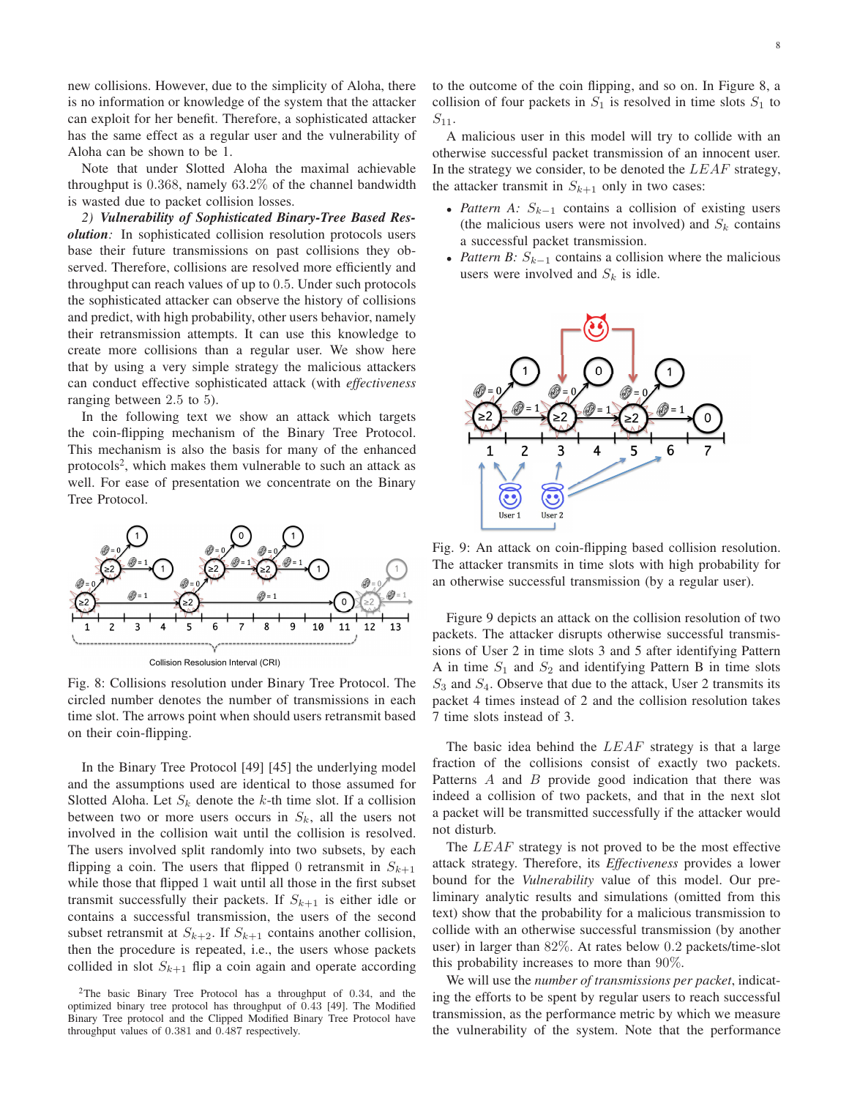new collisions. However, due to the simplicity of Aloha, there is no information or knowledge of the system that the attacker can exploit for her benefit. Therefore, a sophisticated attacker has the same effect as a regular user and the vulnerability of Aloha can be shown to be 1.

Note that under Slotted Aloha the maximal achievable throughput is 0.368, namely 63.2% of the channel bandwidth is wasted due to packet collision losses.

*2) Vulnerability of Sophisticated Binary-Tree Based Resolution:* In sophisticated collision resolution protocols users base their future transmissions on past collisions they observed. Therefore, collisions are resolved more efficiently and throughput can reach values of up to 0.5. Under such protocols the sophisticated attacker can observe the history of collisions and predict, with high probability, other users behavior, namely their retransmission attempts. It can use this knowledge to create more collisions than a regular user. We show here that by using a very simple strategy the malicious attackers can conduct effective sophisticated attack (with *effectiveness* ranging between 2.5 to 5).

In the following text we show an attack which targets the coin-flipping mechanism of the Binary Tree Protocol. This mechanism is also the basis for many of the enhanced protocols<sup>2</sup>, which makes them vulnerable to such an attack as well. For ease of presentation we concentrate on the Binary Tree Protocol.



Fig. 8: Collisions resolution under Binary Tree Protocol. The circled number denotes the number of transmissions in each time slot. The arrows point when should users retransmit based on their coin-flipping.

In the Binary Tree Protocol [49] [45] the underlying model and the assumptions used are identical to those assumed for Slotted Aloha. Let  $S_k$  denote the k-th time slot. If a collision between two or more users occurs in  $S_k$ , all the users not involved in the collision wait until the collision is resolved. The users involved split randomly into two subsets, by each flipping a coin. The users that flipped 0 retransmit in  $S_{k+1}$ while those that flipped 1 wait until all those in the first subset transmit successfully their packets. If  $S_{k+1}$  is either idle or contains a successful transmission, the users of the second subset retransmit at  $S_{k+2}$ . If  $S_{k+1}$  contains another collision, then the procedure is repeated, i.e., the users whose packets collided in slot  $S_{k+1}$  flip a coin again and operate according to the outcome of the coin flipping, and so on. In Figure 8, a collision of four packets in  $S_1$  is resolved in time slots  $S_1$  to  $S_{11}$ .

A malicious user in this model will try to collide with an otherwise successful packet transmission of an innocent user. In the strategy we consider, to be denoted the  $LEAF$  strategy, the attacker transmit in  $S_{k+1}$  only in two cases:

- *Pattern A:*  $S_{k-1}$  contains a collision of existing users (the malicious users were not involved) and  $S_k$  contains a successful packet transmission.
- *Pattern B:*  $S_{k-1}$  contains a collision where the malicious users were involved and  $S_k$  is idle.



Fig. 9: An attack on coin-flipping based collision resolution. The attacker transmits in time slots with high probability for an otherwise successful transmission (by a regular user).

Figure 9 depicts an attack on the collision resolution of two packets. The attacker disrupts otherwise successful transmissions of User 2 in time slots 3 and 5 after identifying Pattern A in time  $S_1$  and  $S_2$  and identifying Pattern B in time slots  $S_3$  and  $S_4$ . Observe that due to the attack, User 2 transmits its packet 4 times instead of 2 and the collision resolution takes 7 time slots instead of 3.

The basic idea behind the  $LEAF$  strategy is that a large fraction of the collisions consist of exactly two packets. Patterns A and B provide good indication that there was indeed a collision of two packets, and that in the next slot a packet will be transmitted successfully if the attacker would not disturb.

The LEAF strategy is not proved to be the most effective attack strategy. Therefore, its *Effectiveness* provides a lower bound for the *Vulnerability* value of this model. Our preliminary analytic results and simulations (omitted from this text) show that the probability for a malicious transmission to collide with an otherwise successful transmission (by another user) in larger than 82%. At rates below 0.2 packets/time-slot this probability increases to more than 90%.

We will use the *number of transmissions per packet*, indicating the efforts to be spent by regular users to reach successful transmission, as the performance metric by which we measure the vulnerability of the system. Note that the performance

<sup>2</sup>The basic Binary Tree Protocol has a throughput of 0.34, and the optimized binary tree protocol has throughput of 0.43 [49]. The Modified Binary Tree protocol and the Clipped Modified Binary Tree Protocol have throughput values of 0.381 and 0.487 respectively.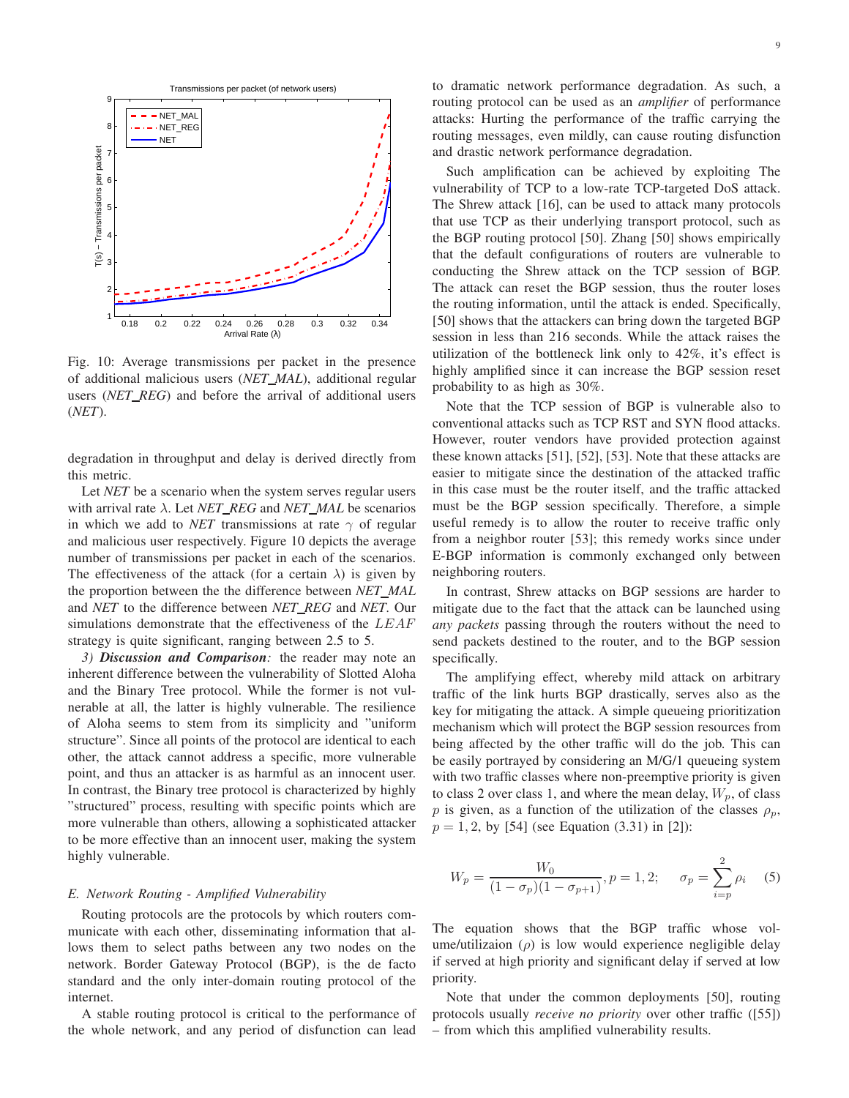

Fig. 10: Average transmissions per packet in the presence of additional malicious users (*NET MAL*), additional regular users (*NET REG*) and before the arrival of additional users (*NET*).

degradation in throughput and delay is derived directly from this metric.

Let *NET* be a scenario when the system serves regular users with arrival rate  $\lambda$ . Let *NET REG* and *NET MAL* be scenarios in which we add to *NET* transmissions at rate  $\gamma$  of regular and malicious user respectively. Figure 10 depicts the average number of transmissions per packet in each of the scenarios. The effectiveness of the attack (for a certain  $\lambda$ ) is given by the proportion between the the difference between *NET MAL* and *NET* to the difference between *NET REG* and *NET*. Our simulations demonstrate that the effectiveness of the LEAF strategy is quite significant, ranging between 2.5 to 5.

*3) Discussion and Comparison:* the reader may note an inherent difference between the vulnerability of Slotted Aloha and the Binary Tree protocol. While the former is not vulnerable at all, the latter is highly vulnerable. The resilience of Aloha seems to stem from its simplicity and "uniform structure". Since all points of the protocol are identical to each other, the attack cannot address a specific, more vulnerable point, and thus an attacker is as harmful as an innocent user. In contrast, the Binary tree protocol is characterized by highly "structured" process, resulting with specific points which are more vulnerable than others, allowing a sophisticated attacker to be more effective than an innocent user, making the system highly vulnerable.

#### *E. Network Routing - Amplified Vulnerability*

Routing protocols are the protocols by which routers communicate with each other, disseminating information that allows them to select paths between any two nodes on the network. Border Gateway Protocol (BGP), is the de facto standard and the only inter-domain routing protocol of the internet.

A stable routing protocol is critical to the performance of the whole network, and any period of disfunction can lead to dramatic network performance degradation. As such, a routing protocol can be used as an *amplifier* of performance attacks: Hurting the performance of the traffic carrying the routing messages, even mildly, can cause routing disfunction and drastic network performance degradation.

Such amplification can be achieved by exploiting The vulnerability of TCP to a low-rate TCP-targeted DoS attack. The Shrew attack [16], can be used to attack many protocols that use TCP as their underlying transport protocol, such as the BGP routing protocol [50]. Zhang [50] shows empirically that the default configurations of routers are vulnerable to conducting the Shrew attack on the TCP session of BGP. The attack can reset the BGP session, thus the router loses the routing information, until the attack is ended. Specifically, [50] shows that the attackers can bring down the targeted BGP session in less than 216 seconds. While the attack raises the utilization of the bottleneck link only to 42%, it's effect is highly amplified since it can increase the BGP session reset probability to as high as 30%.

Note that the TCP session of BGP is vulnerable also to conventional attacks such as TCP RST and SYN flood attacks. However, router vendors have provided protection against these known attacks [51], [52], [53]. Note that these attacks are easier to mitigate since the destination of the attacked traffic in this case must be the router itself, and the traffic attacked must be the BGP session specifically. Therefore, a simple useful remedy is to allow the router to receive traffic only from a neighbor router [53]; this remedy works since under E-BGP information is commonly exchanged only between neighboring routers.

In contrast, Shrew attacks on BGP sessions are harder to mitigate due to the fact that the attack can be launched using *any packets* passing through the routers without the need to send packets destined to the router, and to the BGP session specifically.

The amplifying effect, whereby mild attack on arbitrary traffic of the link hurts BGP drastically, serves also as the key for mitigating the attack. A simple queueing prioritization mechanism which will protect the BGP session resources from being affected by the other traffic will do the job. This can be easily portrayed by considering an M/G/1 queueing system with two traffic classes where non-preemptive priority is given to class 2 over class 1, and where the mean delay,  $W_p$ , of class p is given, as a function of the utilization of the classes  $\rho_p$ ,  $p = 1, 2$ , by [54] (see Equation (3.31) in [2]):

$$
W_p = \frac{W_0}{(1 - \sigma_p)(1 - \sigma_{p+1})}, p = 1, 2; \quad \sigma_p = \sum_{i=p}^{2} \rho_i \quad (5)
$$

The equation shows that the BGP traffic whose volume/utilizaion  $(\rho)$  is low would experience negligible delay if served at high priority and significant delay if served at low priority.

Note that under the common deployments [50], routing protocols usually *receive no priority* over other traffic ([55]) – from which this amplified vulnerability results.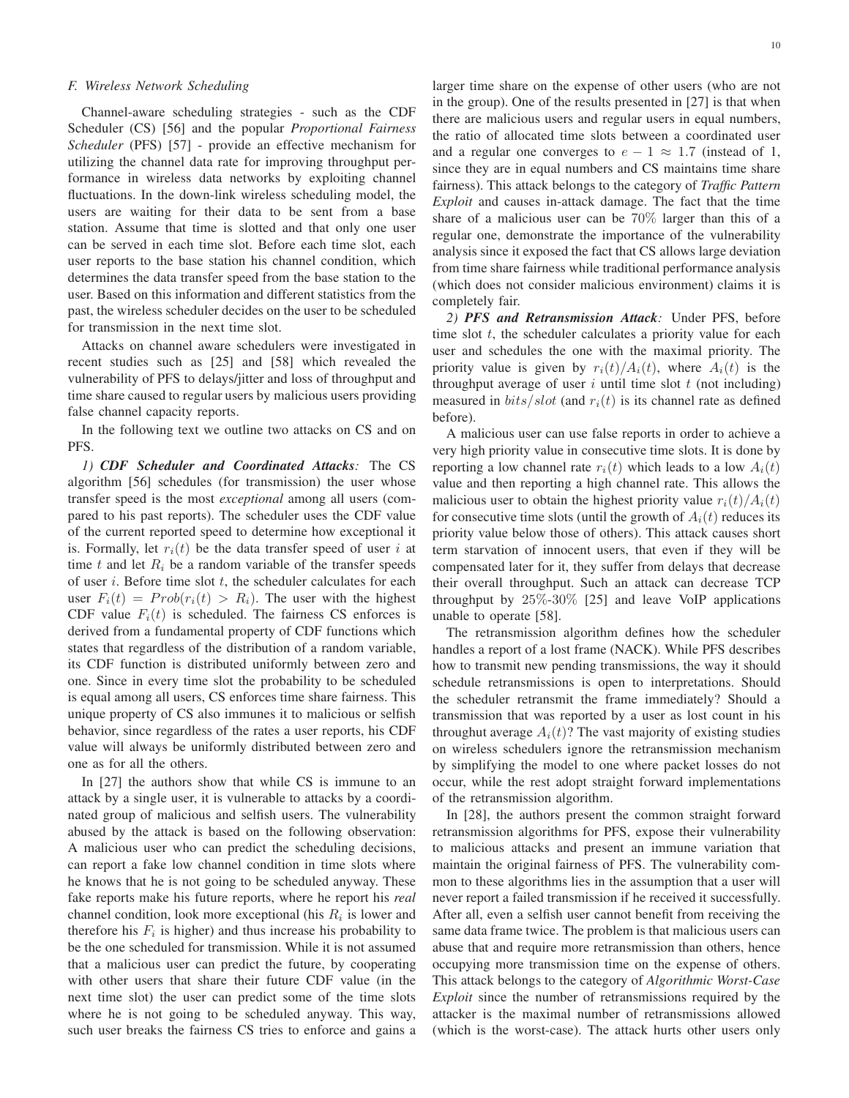#### *F. Wireless Network Scheduling*

Channel-aware scheduling strategies - such as the CDF Scheduler (CS) [56] and the popular *Proportional Fairness Scheduler* (PFS) [57] - provide an effective mechanism for utilizing the channel data rate for improving throughput performance in wireless data networks by exploiting channel fluctuations. In the down-link wireless scheduling model, the users are waiting for their data to be sent from a base station. Assume that time is slotted and that only one user can be served in each time slot. Before each time slot, each user reports to the base station his channel condition, which determines the data transfer speed from the base station to the user. Based on this information and different statistics from the past, the wireless scheduler decides on the user to be scheduled for transmission in the next time slot.

Attacks on channel aware schedulers were investigated in recent studies such as [25] and [58] which revealed the vulnerability of PFS to delays/jitter and loss of throughput and time share caused to regular users by malicious users providing false channel capacity reports.

In the following text we outline two attacks on CS and on PFS.

*1) CDF Scheduler and Coordinated Attacks:* The CS algorithm [56] schedules (for transmission) the user whose transfer speed is the most *exceptional* among all users (compared to his past reports). The scheduler uses the CDF value of the current reported speed to determine how exceptional it is. Formally, let  $r_i(t)$  be the data transfer speed of user i at time  $t$  and let  $R_i$  be a random variable of the transfer speeds of user i. Before time slot t, the scheduler calculates for each user  $F_i(t) = Prob(r_i(t) > R_i)$ . The user with the highest CDF value  $F_i(t)$  is scheduled. The fairness CS enforces is derived from a fundamental property of CDF functions which states that regardless of the distribution of a random variable, its CDF function is distributed uniformly between zero and one. Since in every time slot the probability to be scheduled is equal among all users, CS enforces time share fairness. This unique property of CS also immunes it to malicious or selfish behavior, since regardless of the rates a user reports, his CDF value will always be uniformly distributed between zero and one as for all the others.

In [27] the authors show that while CS is immune to an attack by a single user, it is vulnerable to attacks by a coordinated group of malicious and selfish users. The vulnerability abused by the attack is based on the following observation: A malicious user who can predict the scheduling decisions, can report a fake low channel condition in time slots where he knows that he is not going to be scheduled anyway. These fake reports make his future reports, where he report his *real* channel condition, look more exceptional (his  $R_i$  is lower and therefore his  $F_i$  is higher) and thus increase his probability to be the one scheduled for transmission. While it is not assumed that a malicious user can predict the future, by cooperating with other users that share their future CDF value (in the next time slot) the user can predict some of the time slots where he is not going to be scheduled anyway. This way, such user breaks the fairness CS tries to enforce and gains a

larger time share on the expense of other users (who are not in the group). One of the results presented in [27] is that when there are malicious users and regular users in equal numbers, the ratio of allocated time slots between a coordinated user and a regular one converges to  $e - 1 \approx 1.7$  (instead of 1, since they are in equal numbers and CS maintains time share fairness). This attack belongs to the category of *Traffic Pattern Exploit* and causes in-attack damage. The fact that the time share of a malicious user can be 70% larger than this of a regular one, demonstrate the importance of the vulnerability analysis since it exposed the fact that CS allows large deviation from time share fairness while traditional performance analysis (which does not consider malicious environment) claims it is completely fair.

*2) PFS and Retransmission Attack:* Under PFS, before time slot  $t$ , the scheduler calculates a priority value for each user and schedules the one with the maximal priority. The priority value is given by  $r_i(t)/A_i(t)$ , where  $A_i(t)$  is the throughput average of user  $i$  until time slot  $t$  (not including) measured in  $bits/slot$  (and  $r<sub>i</sub>(t)$  is its channel rate as defined before).

A malicious user can use false reports in order to achieve a very high priority value in consecutive time slots. It is done by reporting a low channel rate  $r_i(t)$  which leads to a low  $A_i(t)$ value and then reporting a high channel rate. This allows the malicious user to obtain the highest priority value  $r_i(t)/A_i(t)$ for consecutive time slots (until the growth of  $A_i(t)$  reduces its priority value below those of others). This attack causes short term starvation of innocent users, that even if they will be compensated later for it, they suffer from delays that decrease their overall throughput. Such an attack can decrease TCP throughput by  $25\% - 30\%$  [25] and leave VoIP applications unable to operate [58].

The retransmission algorithm defines how the scheduler handles a report of a lost frame (NACK). While PFS describes how to transmit new pending transmissions, the way it should schedule retransmissions is open to interpretations. Should the scheduler retransmit the frame immediately? Should a transmission that was reported by a user as lost count in his throughut average  $A_i(t)$ ? The vast majority of existing studies on wireless schedulers ignore the retransmission mechanism by simplifying the model to one where packet losses do not occur, while the rest adopt straight forward implementations of the retransmission algorithm.

In [28], the authors present the common straight forward retransmission algorithms for PFS, expose their vulnerability to malicious attacks and present an immune variation that maintain the original fairness of PFS. The vulnerability common to these algorithms lies in the assumption that a user will never report a failed transmission if he received it successfully. After all, even a selfish user cannot benefit from receiving the same data frame twice. The problem is that malicious users can abuse that and require more retransmission than others, hence occupying more transmission time on the expense of others. This attack belongs to the category of *Algorithmic Worst-Case Exploit* since the number of retransmissions required by the attacker is the maximal number of retransmissions allowed (which is the worst-case). The attack hurts other users only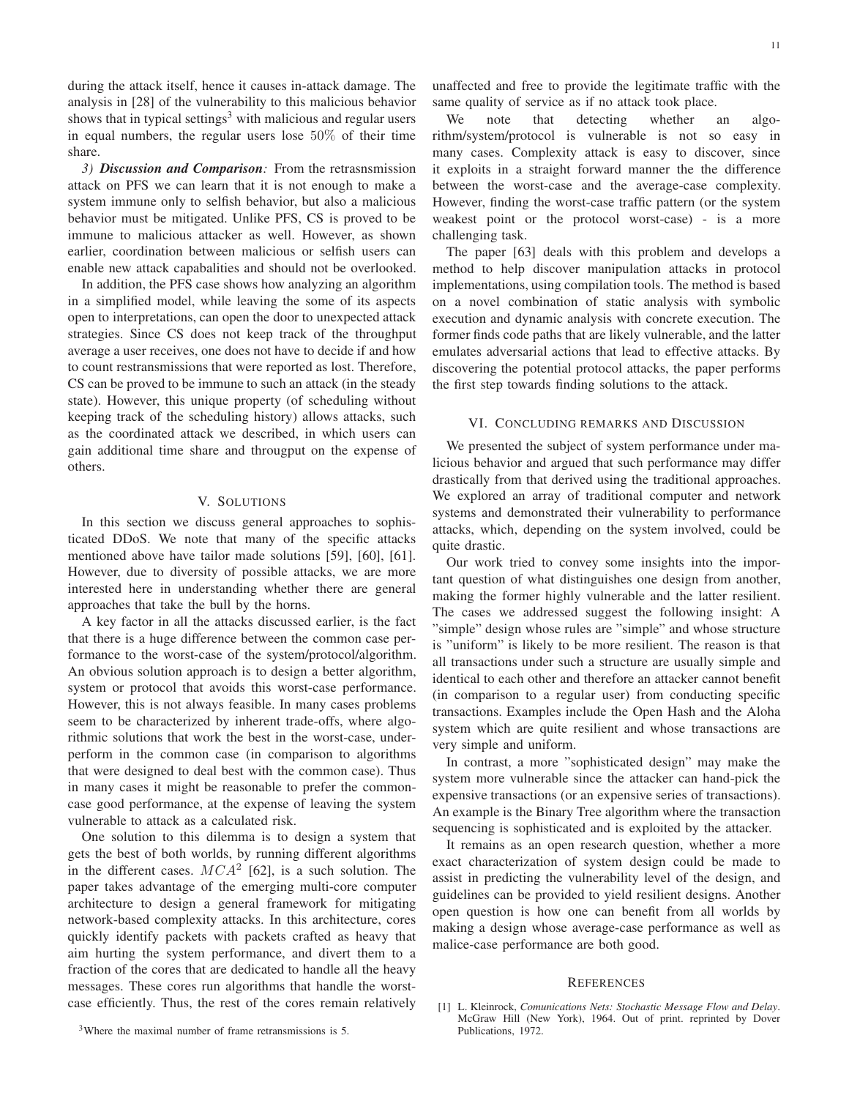during the attack itself, hence it causes in-attack damage. The analysis in [28] of the vulnerability to this malicious behavior shows that in typical settings<sup>3</sup> with malicious and regular users in equal numbers, the regular users lose 50% of their time share.

*3) Discussion and Comparison:* From the retrasnsmission attack on PFS we can learn that it is not enough to make a system immune only to selfish behavior, but also a malicious behavior must be mitigated. Unlike PFS, CS is proved to be immune to malicious attacker as well. However, as shown earlier, coordination between malicious or selfish users can enable new attack capabalities and should not be overlooked.

In addition, the PFS case shows how analyzing an algorithm in a simplified model, while leaving the some of its aspects open to interpretations, can open the door to unexpected attack strategies. Since CS does not keep track of the throughput average a user receives, one does not have to decide if and how to count restransmissions that were reported as lost. Therefore, CS can be proved to be immune to such an attack (in the steady state). However, this unique property (of scheduling without keeping track of the scheduling history) allows attacks, such as the coordinated attack we described, in which users can gain additional time share and througput on the expense of others.

# V. SOLUTIONS

In this section we discuss general approaches to sophisticated DDoS. We note that many of the specific attacks mentioned above have tailor made solutions [59], [60], [61]. However, due to diversity of possible attacks, we are more interested here in understanding whether there are general approaches that take the bull by the horns.

A key factor in all the attacks discussed earlier, is the fact that there is a huge difference between the common case performance to the worst-case of the system/protocol/algorithm. An obvious solution approach is to design a better algorithm, system or protocol that avoids this worst-case performance. However, this is not always feasible. In many cases problems seem to be characterized by inherent trade-offs, where algorithmic solutions that work the best in the worst-case, underperform in the common case (in comparison to algorithms that were designed to deal best with the common case). Thus in many cases it might be reasonable to prefer the commoncase good performance, at the expense of leaving the system vulnerable to attack as a calculated risk.

One solution to this dilemma is to design a system that gets the best of both worlds, by running different algorithms in the different cases.  $MCA<sup>2</sup>$  [62], is a such solution. The paper takes advantage of the emerging multi-core computer architecture to design a general framework for mitigating network-based complexity attacks. In this architecture, cores quickly identify packets with packets crafted as heavy that aim hurting the system performance, and divert them to a fraction of the cores that are dedicated to handle all the heavy messages. These cores run algorithms that handle the worstcase efficiently. Thus, the rest of the cores remain relatively

unaffected and free to provide the legitimate traffic with the same quality of service as if no attack took place.

We note that detecting whether an algorithm/system/protocol is vulnerable is not so easy in many cases. Complexity attack is easy to discover, since it exploits in a straight forward manner the the difference between the worst-case and the average-case complexity. However, finding the worst-case traffic pattern (or the system weakest point or the protocol worst-case) - is a more challenging task.

The paper [63] deals with this problem and develops a method to help discover manipulation attacks in protocol implementations, using compilation tools. The method is based on a novel combination of static analysis with symbolic execution and dynamic analysis with concrete execution. The former finds code paths that are likely vulnerable, and the latter emulates adversarial actions that lead to effective attacks. By discovering the potential protocol attacks, the paper performs the first step towards finding solutions to the attack.

#### VI. CONCLUDING REMARKS AND DISCUSSION

We presented the subject of system performance under malicious behavior and argued that such performance may differ drastically from that derived using the traditional approaches. We explored an array of traditional computer and network systems and demonstrated their vulnerability to performance attacks, which, depending on the system involved, could be quite drastic.

Our work tried to convey some insights into the important question of what distinguishes one design from another, making the former highly vulnerable and the latter resilient. The cases we addressed suggest the following insight: A "simple" design whose rules are "simple" and whose structure is "uniform" is likely to be more resilient. The reason is that all transactions under such a structure are usually simple and identical to each other and therefore an attacker cannot benefit (in comparison to a regular user) from conducting specific transactions. Examples include the Open Hash and the Aloha system which are quite resilient and whose transactions are very simple and uniform.

In contrast, a more "sophisticated design" may make the system more vulnerable since the attacker can hand-pick the expensive transactions (or an expensive series of transactions). An example is the Binary Tree algorithm where the transaction sequencing is sophisticated and is exploited by the attacker.

It remains as an open research question, whether a more exact characterization of system design could be made to assist in predicting the vulnerability level of the design, and guidelines can be provided to yield resilient designs. Another open question is how one can benefit from all worlds by making a design whose average-case performance as well as malice-case performance are both good.

#### **REFERENCES**

<sup>[1]</sup> L. Kleinrock, *Comunications Nets: Stochastic Message Flow and Delay*. McGraw Hill (New York), 1964. Out of print. reprinted by Dover Publications, 1972.

<sup>3</sup>Where the maximal number of frame retransmissions is 5.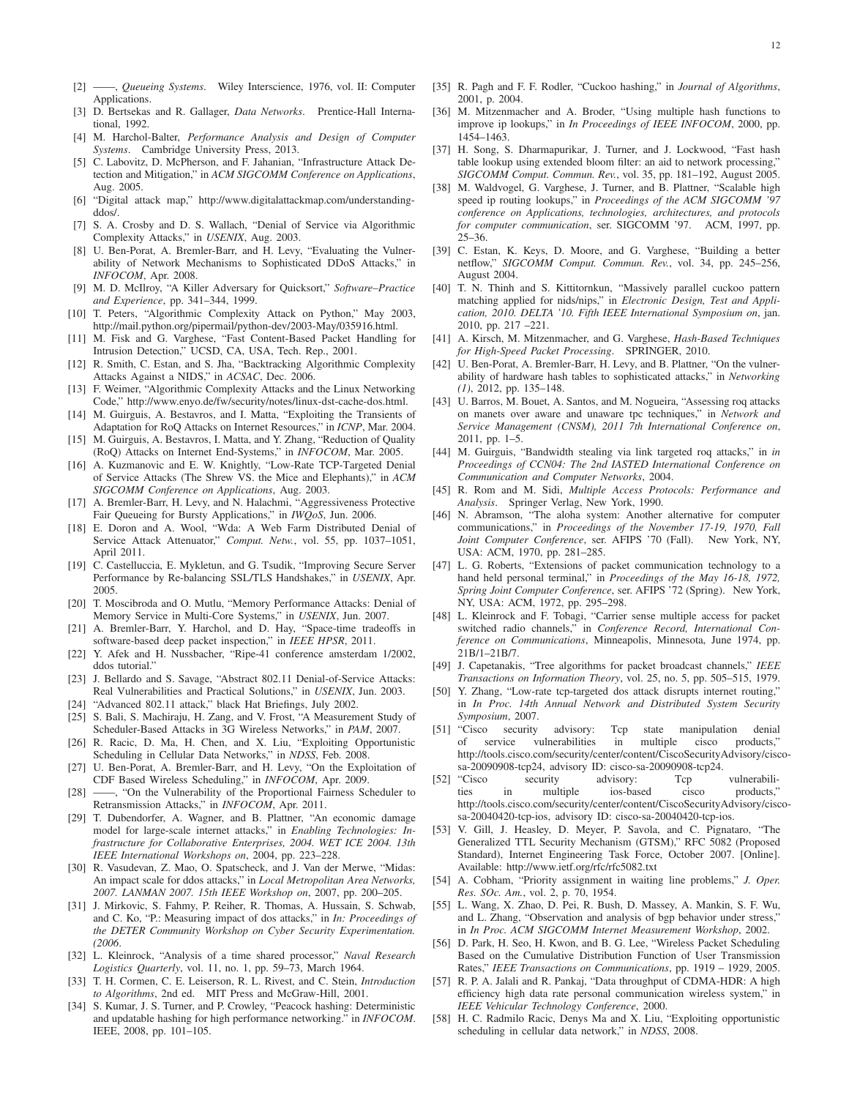- [2] ——, *Queueing Systems*. Wiley Interscience, 1976, vol. II: Computer Applications.
- [3] D. Bertsekas and R. Gallager, *Data Networks*. Prentice-Hall International, 1992.
- [4] M. Harchol-Balter, *Performance Analysis and Design of Computer Systems*. Cambridge University Press, 2013.
- [5] C. Labovitz, D. McPherson, and F. Jahanian, "Infrastructure Attack Detection and Mitigation," in *ACM SIGCOMM Conference on Applications*, Aug. 2005.
- [6] "Digital attack map," http://www.digitalattackmap.com/understandingddos/.
- [7] S. A. Crosby and D. S. Wallach, "Denial of Service via Algorithmic Complexity Attacks," in *USENIX*, Aug. 2003.
- [8] U. Ben-Porat, A. Bremler-Barr, and H. Levy, "Evaluating the Vulnerability of Network Mechanisms to Sophisticated DDoS Attacks," in *INFOCOM*, Apr. 2008.
- [9] M. D. McIlroy, "A Killer Adversary for Quicksort," *Software–Practice and Experience*, pp. 341–344, 1999.
- [10] T. Peters, "Algorithmic Complexity Attack on Python," May 2003, http://mail.python.org/pipermail/python-dev/2003-May/035916.html.
- [11] M. Fisk and G. Varghese, "Fast Content-Based Packet Handling for Intrusion Detection," UCSD, CA, USA, Tech. Rep., 2001.
- [12] R. Smith, C. Estan, and S. Jha, "Backtracking Algorithmic Complexity Attacks Against a NIDS," in *ACSAC*, Dec. 2006.
- [13] F. Weimer, "Algorithmic Complexity Attacks and the Linux Networking Code," http://www.enyo.de/fw/security/notes/linux-dst-cache-dos.html.
- [14] M. Guirguis, A. Bestavros, and I. Matta, "Exploiting the Transients of Adaptation for RoQ Attacks on Internet Resources," in *ICNP*, Mar. 2004.
- [15] M. Guirguis, A. Bestavros, I. Matta, and Y. Zhang, "Reduction of Quality (RoQ) Attacks on Internet End-Systems," in *INFOCOM*, Mar. 2005.
- [16] A. Kuzmanovic and E. W. Knightly, "Low-Rate TCP-Targeted Denial of Service Attacks (The Shrew VS. the Mice and Elephants)," in *ACM SIGCOMM Conference on Applications*, Aug. 2003.
- [17] A. Bremler-Barr, H. Levy, and N. Halachmi, "Aggressiveness Protective Fair Queueing for Bursty Applications," in *IWQoS*, Jun. 2006.
- [18] E. Doron and A. Wool, "Wda: A Web Farm Distributed Denial of Service Attack Attenuator," *Comput. Netw.*, vol. 55, pp. 1037–1051, April 2011.
- [19] C. Castelluccia, E. Mykletun, and G. Tsudik, "Improving Secure Server Performance by Re-balancing SSL/TLS Handshakes," in *USENIX*, Apr. 2005.
- [20] T. Moscibroda and O. Mutlu, "Memory Performance Attacks: Denial of Memory Service in Multi-Core Systems," in *USENIX*, Jun. 2007.
- [21] A. Bremler-Barr, Y. Harchol, and D. Hay, "Space-time tradeoffs in software-based deep packet inspection," in *IEEE HPSR*, 2011.
- [22] Y. Afek and H. Nussbacher, "Ripe-41 conference amsterdam 1/2002, ddos tutorial."
- [23] J. Bellardo and S. Savage, "Abstract 802.11 Denial-of-Service Attacks: Real Vulnerabilities and Practical Solutions," in *USENIX*, Jun. 2003.
- [24] "Advanced 802.11 attack," black Hat Briefings, July 2002. [25] S. Bali, S. Machiraju, H. Zang, and V. Frost, "A Measurement Study of
- Scheduler-Based Attacks in 3G Wireless Networks," in *PAM*, 2007. [26] R. Racic, D. Ma, H. Chen, and X. Liu, "Exploiting Opportunistic
- Scheduling in Cellular Data Networks," in *NDSS*, Feb. 2008. [27] U. Ben-Porat, A. Bremler-Barr, and H. Levy, "On the Exploitation of
- CDF Based Wireless Scheduling," in *INFOCOM*, Apr. 2009. [28] -, "On the Vulnerability of the Proportional Fairness Scheduler to
- Retransmission Attacks," in *INFOCOM*, Apr. 2011.
- [29] T. Dubendorfer, A. Wagner, and B. Plattner, "An economic damage model for large-scale internet attacks," in *Enabling Technologies: Infrastructure for Collaborative Enterprises, 2004. WET ICE 2004. 13th IEEE International Workshops on*, 2004, pp. 223–228.
- [30] R. Vasudevan, Z. Mao, O. Spatscheck, and J. Van der Merwe, "Midas: An impact scale for ddos attacks," in *Local Metropolitan Area Networks, 2007. LANMAN 2007. 15th IEEE Workshop on*, 2007, pp. 200–205.
- [31] J. Mirkovic, S. Fahmy, P. Reiher, R. Thomas, A. Hussain, S. Schwab, and C. Ko, "P.: Measuring impact of dos attacks," in *In: Proceedings of the DETER Community Workshop on Cyber Security Experimentation. (2006*.
- [32] L. Kleinrock, "Analysis of a time shared processor," *Naval Research Logistics Quarterly*, vol. 11, no. 1, pp. 59–73, March 1964.
- [33] T. H. Cormen, C. E. Leiserson, R. L. Rivest, and C. Stein, *Introduction to Algorithms*, 2nd ed. MIT Press and McGraw-Hill, 2001.
- [34] S. Kumar, J. S. Turner, and P. Crowley, "Peacock hashing: Deterministic and updatable hashing for high performance networking." in *INFOCOM*. IEEE, 2008, pp. 101–105.
- [35] R. Pagh and F. F. Rodler, "Cuckoo hashing," in *Journal of Algorithms*, 2001, p. 2004.
- [36] M. Mitzenmacher and A. Broder, "Using multiple hash functions to improve ip lookups," in *In Proceedings of IEEE INFOCOM*, 2000, pp. 1454–1463.
- [37] H. Song, S. Dharmapurikar, J. Turner, and J. Lockwood, "Fast hash table lookup using extended bloom filter: an aid to network processing," *SIGCOMM Comput. Commun. Rev.*, vol. 35, pp. 181–192, August 2005.
- [38] M. Waldvogel, G. Varghese, J. Turner, and B. Plattner, "Scalable high speed ip routing lookups," in *Proceedings of the ACM SIGCOMM '97 conference on Applications, technologies, architectures, and protocols for computer communication*, ser. SIGCOMM '97. ACM, 1997, pp. 25–36.
- [39] C. Estan, K. Keys, D. Moore, and G. Varghese, "Building a better netflow," *SIGCOMM Comput. Commun. Rev.*, vol. 34, pp. 245–256, August 2004.
- [40] T. N. Thinh and S. Kittitornkun, "Massively parallel cuckoo pattern matching applied for nids/nips," in *Electronic Design, Test and Application, 2010. DELTA '10. Fifth IEEE International Symposium on*, jan. 2010, pp. 217 –221.
- [41] A. Kirsch, M. Mitzenmacher, and G. Varghese, *Hash-Based Techniques for High-Speed Packet Processing*. SPRINGER, 2010.
- [42] U. Ben-Porat, A. Bremler-Barr, H. Levy, and B. Plattner, "On the vulnerability of hardware hash tables to sophisticated attacks," in *Networking (1)*, 2012, pp. 135–148.
- [43] U. Barros, M. Bouet, A. Santos, and M. Nogueira, "Assessing roq attacks on manets over aware and unaware tpc techniques," in *Network and Service Management (CNSM), 2011 7th International Conference on*, 2011, pp. 1–5.
- [44] M. Guirguis, "Bandwidth stealing via link targeted roq attacks," in *in Proceedings of CCN04: The 2nd IASTED International Conference on Communication and Computer Networks*, 2004.
- [45] R. Rom and M. Sidi, *Multiple Access Protocols: Performance and Analysis*. Springer Verlag, New York, 1990.
- [46] N. Abramson, "The aloha system: Another alternative for computer communications," in *Proceedings of the November 17-19, 1970, Fall Joint Computer Conference*, ser. AFIPS '70 (Fall). New York, NY, USA: ACM, 1970, pp. 281–285.
- [47] L. G. Roberts, "Extensions of packet communication technology to a hand held personal terminal," in *Proceedings of the May 16-18, 1972, Spring Joint Computer Conference*, ser. AFIPS '72 (Spring). New York, NY, USA: ACM, 1972, pp. 295–298.
- [48] L. Kleinrock and F. Tobagi, "Carrier sense multiple access for packet switched radio channels," in *Conference Record, International Conference on Communications*, Minneapolis, Minnesota, June 1974, pp. 21B/1–21B/7.
- [49] J. Capetanakis, "Tree algorithms for packet broadcast channels," *IEEE Transactions on Information Theory*, vol. 25, no. 5, pp. 505–515, 1979.
- [50] Y. Zhang, "Low-rate tcp-targeted dos attack disrupts internet routing," in *In Proc. 14th Annual Network and Distributed System Security Symposium*, 2007.
- [51] "Cisco security advisory: Tcp state manipulation denial of service vulnerabilities in multiple cisco products," http://tools.cisco.com/security/center/content/CiscoSecurityAdvisory/ciscosa-20090908-tcp24, advisory ID: cisco-sa-20090908-tcp24.<br>
"Cisco security advisory: Tcp
- [52] "Cisco security advisory: Tcp vulnerabilities in multiple ios-based cisco products," http://tools.cisco.com/security/center/content/CiscoSecurityAdvisory/ciscosa-20040420-tcp-ios, advisory ID: cisco-sa-20040420-tcp-ios.
- [53] V. Gill, J. Heasley, D. Meyer, P. Savola, and C. Pignataro, "The Generalized TTL Security Mechanism (GTSM)," RFC 5082 (Proposed Standard), Internet Engineering Task Force, October 2007. [Online]. Available: http://www.ietf.org/rfc/rfc5082.txt
- [54] A. Cobham, "Priority assignment in waiting line problems," *J. Oper. Res. SOc. Am.*, vol. 2, p. 70, 1954.
- [55] L. Wang, X. Zhao, D. Pei, R. Bush, D. Massey, A. Mankin, S. F. Wu, and L. Zhang, "Observation and analysis of bgp behavior under stress," in *In Proc. ACM SIGCOMM Internet Measurement Workshop*, 2002.
- [56] D. Park, H. Seo, H. Kwon, and B. G. Lee, "Wireless Packet Scheduling Based on the Cumulative Distribution Function of User Transmission Rates," *IEEE Transactions on Communications*, pp. 1919 – 1929, 2005.
- [57] R. P. A. Jalali and R. Pankaj, "Data throughput of CDMA-HDR: A high efficiency high data rate personal communication wireless system," in *IEEE Vehicular Technology Conference*, 2000.
- [58] H. C. Radmilo Racic, Denys Ma and X. Liu, "Exploiting opportunistic scheduling in cellular data network," in *NDSS*, 2008.